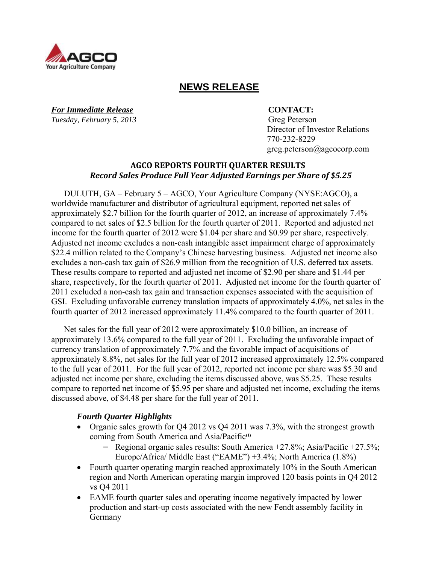

# **NEWS RELEASE**

*For Immediate Release* **CONTACT:** *Tuesday, February 5, 2013* Greg Peterson

 Director of Investor Relations 770-232-8229 greg.peterson@agcocorp.com

## **AGCO REPORTS FOURTH QUARTER RESULTS**  *Record Sales Produce Full Year Adjusted Earnings per Share of \$5.25*

DULUTH, GA – February 5 – AGCO, Your Agriculture Company (NYSE:AGCO), a worldwide manufacturer and distributor of agricultural equipment, reported net sales of approximately \$2.7 billion for the fourth quarter of 2012, an increase of approximately 7.4% compared to net sales of \$2.5 billion for the fourth quarter of 2011. Reported and adjusted net income for the fourth quarter of 2012 were \$1.04 per share and \$0.99 per share, respectively. Adjusted net income excludes a non-cash intangible asset impairment charge of approximately \$22.4 million related to the Company's Chinese harvesting business. Adjusted net income also excludes a non-cash tax gain of \$26.9 million from the recognition of U.S. deferred tax assets. These results compare to reported and adjusted net income of \$2.90 per share and \$1.44 per share, respectively, for the fourth quarter of 2011. Adjusted net income for the fourth quarter of 2011 excluded a non-cash tax gain and transaction expenses associated with the acquisition of GSI. Excluding unfavorable currency translation impacts of approximately 4.0%, net sales in the fourth quarter of 2012 increased approximately 11.4% compared to the fourth quarter of 2011.

Net sales for the full year of 2012 were approximately \$10.0 billion, an increase of approximately 13.6% compared to the full year of 2011. Excluding the unfavorable impact of currency translation of approximately 7.7% and the favorable impact of acquisitions of approximately 8.8%, net sales for the full year of 2012 increased approximately 12.5% compared to the full year of 2011. For the full year of 2012, reported net income per share was \$5.30 and adjusted net income per share, excluding the items discussed above, was \$5.25. These results compare to reported net income of \$5.95 per share and adjusted net income, excluding the items discussed above, of \$4.48 per share for the full year of 2011.

## *Fourth Quarter Highlights*

- Organic sales growth for Q4 2012 vs Q4 2011 was 7.3%, with the strongest growth coming from South America and Asia/Pacific**(1)**
	- − Regional organic sales results: South America +27.8%; Asia/Pacific +27.5%; Europe/Africa/ Middle East ("EAME") +3.4%; North America (1.8%)
- Fourth quarter operating margin reached approximately 10% in the South American region and North American operating margin improved 120 basis points in Q4 2012 vs Q4 2011
- EAME fourth quarter sales and operating income negatively impacted by lower production and start-up costs associated with the new Fendt assembly facility in Germany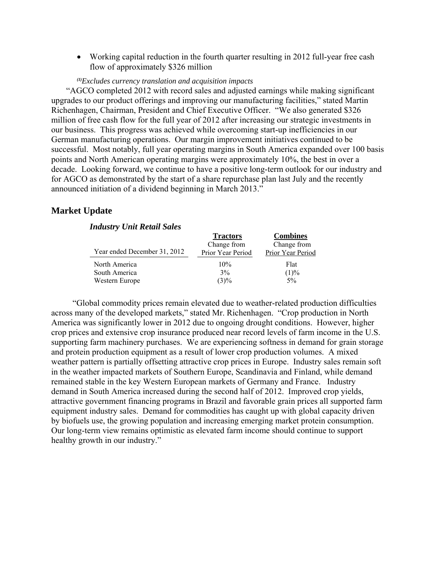Working capital reduction in the fourth quarter resulting in 2012 full-year free cash flow of approximately \$326 million

### *(1)Excludes currency translation and acquisition impacts*

"AGCO completed 2012 with record sales and adjusted earnings while making significant upgrades to our product offerings and improving our manufacturing facilities," stated Martin Richenhagen, Chairman, President and Chief Executive Officer. "We also generated \$326 million of free cash flow for the full year of 2012 after increasing our strategic investments in our business. This progress was achieved while overcoming start-up inefficiencies in our German manufacturing operations. Our margin improvement initiatives continued to be successful. Most notably, full year operating margins in South America expanded over 100 basis points and North American operating margins were approximately 10%, the best in over a decade. Looking forward, we continue to have a positive long-term outlook for our industry and for AGCO as demonstrated by the start of a share repurchase plan last July and the recently announced initiation of a dividend beginning in March 2013."

## **Market Update**

| <b>Industry Unit Retail Sales</b> |                   |                   |
|-----------------------------------|-------------------|-------------------|
|                                   | <b>Tractors</b>   | <b>Combines</b>   |
|                                   | Change from       | Change from       |
| Year ended December 31, 2012      | Prior Year Period | Prior Year Period |
| North America                     | 10%               | Flat              |
| South America                     | 3%                | (1)%              |
| Western Europe                    | $(3)\%$           | $5\%$             |

 "Global commodity prices remain elevated due to weather-related production difficulties across many of the developed markets," stated Mr. Richenhagen. "Crop production in North America was significantly lower in 2012 due to ongoing drought conditions. However, higher crop prices and extensive crop insurance produced near record levels of farm income in the U.S. supporting farm machinery purchases. We are experiencing softness in demand for grain storage and protein production equipment as a result of lower crop production volumes. A mixed weather pattern is partially offsetting attractive crop prices in Europe. Industry sales remain soft in the weather impacted markets of Southern Europe, Scandinavia and Finland, while demand remained stable in the key Western European markets of Germany and France. Industry demand in South America increased during the second half of 2012. Improved crop yields, attractive government financing programs in Brazil and favorable grain prices all supported farm equipment industry sales. Demand for commodities has caught up with global capacity driven by biofuels use, the growing population and increasing emerging market protein consumption. Our long-term view remains optimistic as elevated farm income should continue to support healthy growth in our industry."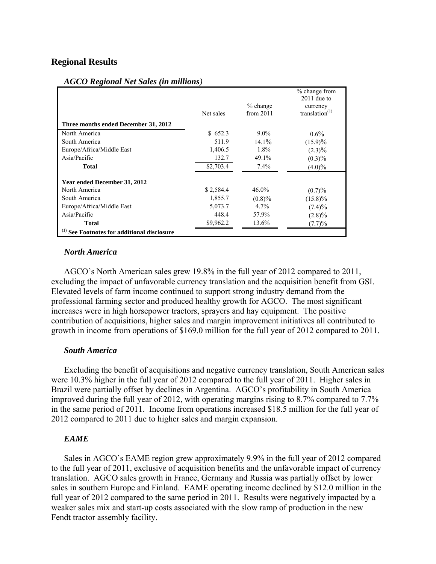## **Regional Results**

|                                                        | Net sales | $%$ change<br>from $2011$ | % change from<br>$2011$ due to<br>currency<br>translation $(1)$ |
|--------------------------------------------------------|-----------|---------------------------|-----------------------------------------------------------------|
| Three months ended December 31, 2012                   |           |                           |                                                                 |
| North America                                          | \$652.3   | $9.0\%$                   | $0.6\%$                                                         |
| South America                                          | 511.9     | $14.1\%$                  | $(15.9)\%$                                                      |
| Europe/Africa/Middle East                              | 1,406.5   | 1.8%                      | $(2.3)\%$                                                       |
| Asia/Pacific                                           | 132.7     | 49.1%                     | $(0.3)\%$                                                       |
| Total                                                  | \$2,703.4 | $7.4\%$                   | $(4.0)\%$                                                       |
| Year ended December 31, 2012                           |           |                           |                                                                 |
| North America                                          | \$2,584.4 | $46.0\%$                  | $(0.7) \%$                                                      |
| South America                                          | 1,855.7   | $(0.8)\%$                 | $(15.8)\%$                                                      |
| Europe/Africa/Middle East                              | 5,073.7   | $4.7\%$                   | (7.4)%                                                          |
| Asia/Pacific                                           | 448.4     | 57.9%                     | $(2.8)\%$                                                       |
| <b>Total</b>                                           | \$9,962.2 | 13.6%                     | (7.7)%                                                          |
| <sup>(1)</sup> See Footnotes for additional disclosure |           |                           |                                                                 |

### *AGCO Regional Net Sales (in millions)*

### *North America*

AGCO's North American sales grew 19.8% in the full year of 2012 compared to 2011, excluding the impact of unfavorable currency translation and the acquisition benefit from GSI. Elevated levels of farm income continued to support strong industry demand from the professional farming sector and produced healthy growth for AGCO. The most significant increases were in high horsepower tractors, sprayers and hay equipment. The positive contribution of acquisitions, higher sales and margin improvement initiatives all contributed to growth in income from operations of \$169.0 million for the full year of 2012 compared to 2011.

### *South America*

Excluding the benefit of acquisitions and negative currency translation, South American sales were 10.3% higher in the full year of 2012 compared to the full year of 2011. Higher sales in Brazil were partially offset by declines in Argentina. AGCO's profitability in South America improved during the full year of 2012, with operating margins rising to 8.7% compared to 7.7% in the same period of 2011. Income from operations increased \$18.5 million for the full year of 2012 compared to 2011 due to higher sales and margin expansion.

### *EAME*

Sales in AGCO's EAME region grew approximately 9.9% in the full year of 2012 compared to the full year of 2011, exclusive of acquisition benefits and the unfavorable impact of currency translation. AGCO sales growth in France, Germany and Russia was partially offset by lower sales in southern Europe and Finland. EAME operating income declined by \$12.0 million in the full year of 2012 compared to the same period in 2011. Results were negatively impacted by a weaker sales mix and start-up costs associated with the slow ramp of production in the new Fendt tractor assembly facility.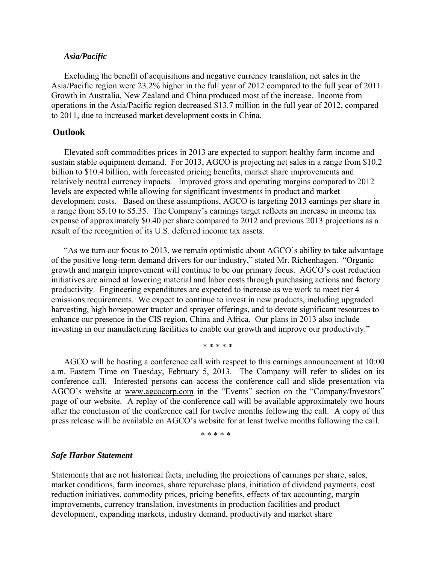### *Asia/Pacific*

Excluding the benefit of acquisitions and negative currency translation, net sales in the Asia/Pacific region were 23.2% higher in the full year of 2012 compared to the full year of 2011. Growth in Australia, New Zealand and China produced most of the increase. Income from operations in the Asia/Pacific region decreased \$13.7 million in the full year of 2012, compared to 2011, due to increased market development costs in China.

#### **Outlook**

Elevated soft commodities prices in 2013 are expected to support healthy farm income and sustain stable equipment demand. For 2013, AGCO is projecting net sales in a range from \$10.2 billion to \$10.4 billion, with forecasted pricing benefits, market share improvements and relatively neutral currency impacts. Improved gross and operating margins compared to 2012 levels are expected while allowing for significant investments in product and market development costs. Based on these assumptions, AGCO is targeting 2013 earnings per share in a range from \$5.10 to \$5.35. The Company's earnings target reflects an increase in income tax expense of approximately \$0.40 per share compared to 2012 and previous 2013 projections as a result of the recognition of its U.S. deferred income tax assets.

"As we turn our focus to 2013, we remain optimistic about AGCO's ability to take advantage of the positive long-term demand drivers for our industry," stated Mr. Richenhagen. "Organic growth and margin improvement will continue to be our primary focus. AGCO's cost reduction initiatives are aimed at lowering material and labor costs through purchasing actions and factory productivity. Engineering expenditures are expected to increase as we work to meet tier 4 emissions requirements. We expect to continue to invest in new products, including upgraded harvesting, high horsepower tractor and sprayer offerings, and to devote significant resources to enhance our presence in the CIS region, China and Africa. Our plans in 2013 also include investing in our manufacturing facilities to enable our growth and improve our productivity."

\* \* \* \* \*

AGCO will be hosting a conference call with respect to this earnings announcement at 10:00 a.m. Eastern Time on Tuesday, February 5, 2013. The Company will refer to slides on its conference call. Interested persons can access the conference call and slide presentation via AGCO's website at www.agcocorp.com in the "Events" section on the "Company/Investors" page of our website. A replay of the conference call will be available approximately two hours after the conclusion of the conference call for twelve months following the call. A copy of this press release will be available on AGCO's website for at least twelve months following the call.

\* \* \* \* \*

#### *Safe Harbor Statement*

Statements that are not historical facts, including the projections of earnings per share, sales, market conditions, farm incomes, share repurchase plans, initiation of dividend payments, cost reduction initiatives, commodity prices, pricing benefits, effects of tax accounting, margin improvements, currency translation, investments in production facilities and product development, expanding markets, industry demand, productivity and market share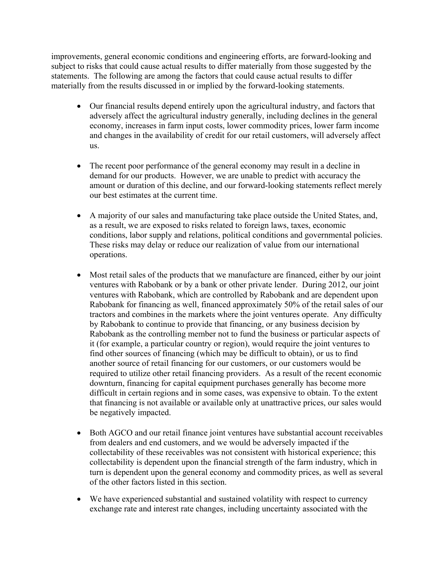improvements, general economic conditions and engineering efforts, are forward-looking and subject to risks that could cause actual results to differ materially from those suggested by the statements. The following are among the factors that could cause actual results to differ materially from the results discussed in or implied by the forward-looking statements.

- Our financial results depend entirely upon the agricultural industry, and factors that adversely affect the agricultural industry generally, including declines in the general economy, increases in farm input costs, lower commodity prices, lower farm income and changes in the availability of credit for our retail customers, will adversely affect us.
- The recent poor performance of the general economy may result in a decline in demand for our products. However, we are unable to predict with accuracy the amount or duration of this decline, and our forward-looking statements reflect merely our best estimates at the current time.
- A majority of our sales and manufacturing take place outside the United States, and, as a result, we are exposed to risks related to foreign laws, taxes, economic conditions, labor supply and relations, political conditions and governmental policies. These risks may delay or reduce our realization of value from our international operations.
- Most retail sales of the products that we manufacture are financed, either by our joint ventures with Rabobank or by a bank or other private lender. During 2012, our joint ventures with Rabobank, which are controlled by Rabobank and are dependent upon Rabobank for financing as well, financed approximately 50% of the retail sales of our tractors and combines in the markets where the joint ventures operate. Any difficulty by Rabobank to continue to provide that financing, or any business decision by Rabobank as the controlling member not to fund the business or particular aspects of it (for example, a particular country or region), would require the joint ventures to find other sources of financing (which may be difficult to obtain), or us to find another source of retail financing for our customers, or our customers would be required to utilize other retail financing providers. As a result of the recent economic downturn, financing for capital equipment purchases generally has become more difficult in certain regions and in some cases, was expensive to obtain. To the extent that financing is not available or available only at unattractive prices, our sales would be negatively impacted.
- Both AGCO and our retail finance joint ventures have substantial account receivables from dealers and end customers, and we would be adversely impacted if the collectability of these receivables was not consistent with historical experience; this collectability is dependent upon the financial strength of the farm industry, which in turn is dependent upon the general economy and commodity prices, as well as several of the other factors listed in this section.
- We have experienced substantial and sustained volatility with respect to currency exchange rate and interest rate changes, including uncertainty associated with the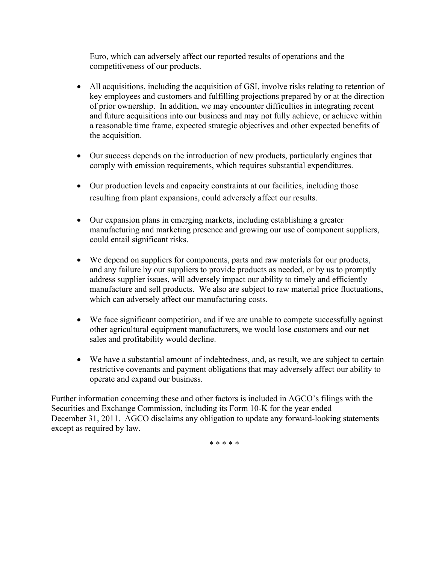Euro, which can adversely affect our reported results of operations and the competitiveness of our products.

- All acquisitions, including the acquisition of GSI, involve risks relating to retention of key employees and customers and fulfilling projections prepared by or at the direction of prior ownership. In addition, we may encounter difficulties in integrating recent and future acquisitions into our business and may not fully achieve, or achieve within a reasonable time frame, expected strategic objectives and other expected benefits of the acquisition.
- Our success depends on the introduction of new products, particularly engines that comply with emission requirements, which requires substantial expenditures.
- Our production levels and capacity constraints at our facilities, including those resulting from plant expansions, could adversely affect our results.
- Our expansion plans in emerging markets, including establishing a greater manufacturing and marketing presence and growing our use of component suppliers, could entail significant risks.
- We depend on suppliers for components, parts and raw materials for our products, and any failure by our suppliers to provide products as needed, or by us to promptly address supplier issues, will adversely impact our ability to timely and efficiently manufacture and sell products. We also are subject to raw material price fluctuations, which can adversely affect our manufacturing costs.
- We face significant competition, and if we are unable to compete successfully against other agricultural equipment manufacturers, we would lose customers and our net sales and profitability would decline.
- We have a substantial amount of indebtedness, and, as result, we are subject to certain restrictive covenants and payment obligations that may adversely affect our ability to operate and expand our business.

Further information concerning these and other factors is included in AGCO's filings with the Securities and Exchange Commission, including its Form 10-K for the year ended December 31, 2011. AGCO disclaims any obligation to update any forward-looking statements except as required by law.

\* \* \* \* \*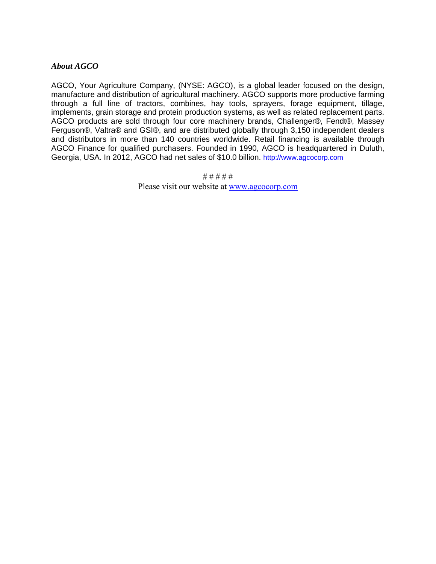### *About AGCO*

AGCO, Your Agriculture Company, (NYSE: AGCO), is a global leader focused on the design, manufacture and distribution of agricultural machinery. AGCO supports more productive farming through a full line of tractors, combines, hay tools, sprayers, forage equipment, tillage, implements, grain storage and protein production systems, as well as related replacement parts. AGCO products are sold through four core machinery brands, Challenger®, Fendt®, Massey Ferguson®, Valtra® and GSI®, and are distributed globally through 3,150 independent dealers and distributors in more than 140 countries worldwide. Retail financing is available through AGCO Finance for qualified purchasers. Founded in 1990, AGCO is headquartered in Duluth, Georgia, USA. In 2012, AGCO had net sales of \$10.0 billion. http://www.agcocorp.com

> # # # # # Please visit our website at www.agcocorp.com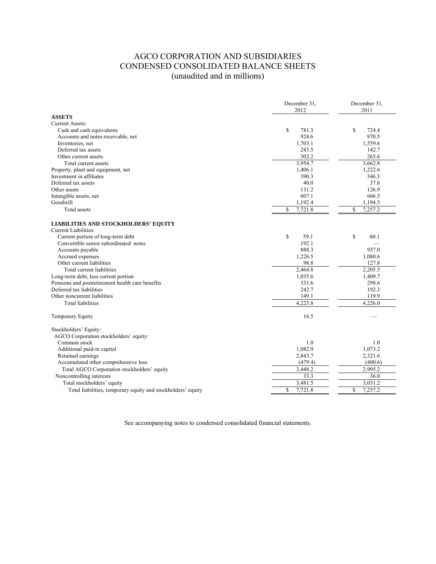## AGCO CORPORATION AND SUBSIDIARIES CONDENSED CONSOLIDATED BALANCE SHEETS (unaudited and in millions)

|                                                                     | December 31.<br>2012 | December 31.<br>2011 |  |  |
|---------------------------------------------------------------------|----------------------|----------------------|--|--|
| <b>ASSETS</b>                                                       |                      |                      |  |  |
| <b>Current Assets:</b>                                              |                      |                      |  |  |
| Cash and cash equivalents                                           | \$<br>781.3          | $\mathbf S$<br>724.4 |  |  |
| Accounts and notes receivable, net                                  | 924.6                | 970.5                |  |  |
| Inventories, net                                                    | 1,703.1              | 1,559.6              |  |  |
| Deferred tax assets                                                 | 243.5                | 142.7                |  |  |
| Other current assets                                                | 302.2                | 265.6                |  |  |
| Total current assets                                                | 3,954.7              | 3,662.8              |  |  |
| Property, plant and equipment, net                                  | 1,406.1              | 1,222.6              |  |  |
| Investment in affiliates                                            | 390.3                | 346.3                |  |  |
| Deferred tax assets                                                 | 40.0                 | 37.6                 |  |  |
| Other assets                                                        | 131.2                | 126.9                |  |  |
| Intangible assets, net                                              | 607.1                | 666.5                |  |  |
| Goodwill                                                            | 1,192.4              | 1,194.5              |  |  |
| <b>Total assets</b>                                                 | \$<br>7,721.8        | \$<br>7,257.2        |  |  |
| <b>LIABILITIES AND STOCKHOLDERS' EQUITY</b><br>Current Liabilities: |                      |                      |  |  |
| Current portion of long-term debt                                   | \$<br>59.1           | \$<br>60.1           |  |  |
| Convertible senior subordinated notes                               | 192.1                |                      |  |  |
| Accounts payable                                                    | 888.3                | 937.0                |  |  |
| Accrued expenses                                                    | 1,226.5              | 1,080.6              |  |  |
| Other current liabilities                                           | 98.8                 | 127.8                |  |  |
| Total current liabilities                                           | 2,464.8              | 2,205.5              |  |  |
| Long-term debt, less current portion                                | 1,035.6              | 1,409.7              |  |  |
| Pensions and postretirement health care benefits                    | 331.6                | 298.6                |  |  |
| Deferred tax liabilities                                            | 242.7                | 192.3                |  |  |
| Other noncurrent liabilities                                        | 149.1                | 119.9                |  |  |
| <b>Total liabilities</b>                                            | 4,223.8              | 4,226.0              |  |  |
| Temporary Equity                                                    | 16.5                 |                      |  |  |
| Stockholders' Equity:                                               |                      |                      |  |  |
| AGCO Corporation stockholders' equity:                              |                      |                      |  |  |
| Common stock                                                        | 1.0                  | 1.0                  |  |  |
| Additional paid-in capital                                          | 1,082.9              | 1,073.2              |  |  |
| Retained earnings                                                   | 2,843.7              | 2,321.6              |  |  |
| Accumulated other comprehensive loss                                | (479.4)              | (400.6)              |  |  |
| Total AGCO Corporation stockholders' equity                         | 3,448.2              | 2,995.2              |  |  |
| Noncontrolling interests                                            | 33.3                 | 36.0                 |  |  |
| Total stockholders' equity                                          | 3,481.5              | 3,031.2              |  |  |
| Total liabilities, temporary equity and stockholders' equity        | \$<br>7,721.8        | S<br>7,257.2         |  |  |
|                                                                     |                      |                      |  |  |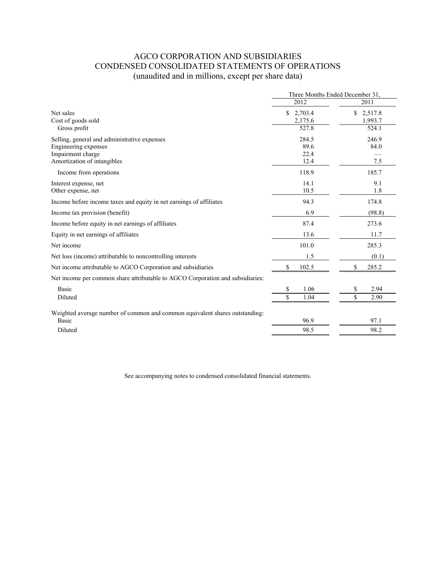## AGCO CORPORATION AND SUBSIDIARIES CONDENSED CONSOLIDATED STATEMENTS OF OPERATIONS (unaudited and in millions, except per share data)

|                                                                                | Three Months Ended December 31, |               |  |
|--------------------------------------------------------------------------------|---------------------------------|---------------|--|
|                                                                                | 2012                            | 2011          |  |
| Net sales                                                                      | \$<br>2,703.4                   | \$<br>2,517.8 |  |
| Cost of goods sold                                                             | 2,175.6                         | 1,993.7       |  |
| Gross profit                                                                   | 527.8                           | 524.1         |  |
| Selling, general and administrative expenses                                   | 284.5                           | 246.9         |  |
| Engineering expenses                                                           | 89.6                            | 84.0          |  |
| Impairment charge                                                              | 22.4                            |               |  |
| Amortization of intangibles                                                    | 12.4                            | 7.5           |  |
| Income from operations                                                         | 118.9                           | 185.7         |  |
| Interest expense, net                                                          | 14.1                            | 9.1           |  |
| Other expense, net                                                             | 10.5                            | 1.8           |  |
| Income before income taxes and equity in net earnings of affiliates            | 94.3                            | 174.8         |  |
| Income tax provision (benefit)                                                 | 6.9                             | (98.8)        |  |
| Income before equity in net earnings of affiliates                             | 87.4                            | 273.6         |  |
| Equity in net earnings of affiliates                                           | 13.6                            | 11.7          |  |
| Net income                                                                     | 101.0                           | 285.3         |  |
| Net loss (income) attributable to noncontrolling interests                     | 1.5                             | (0.1)         |  |
| Net income attributable to AGCO Corporation and subsidiaries                   | 102.5<br>\$                     | \$<br>285.2   |  |
| Net income per common share attributable to AGCO Corporation and subsidiaries: |                                 |               |  |
| <b>Basic</b>                                                                   | 1.06<br>\$                      | 2.94<br>\$    |  |
| Diluted                                                                        | \$<br>1.04                      | \$<br>2.90    |  |
| Weighted average number of common and common equivalent shares outstanding:    |                                 |               |  |
| Basic                                                                          | 96.9                            | 97.1          |  |
| Diluted                                                                        | 98.5                            | 98.2          |  |
|                                                                                |                                 |               |  |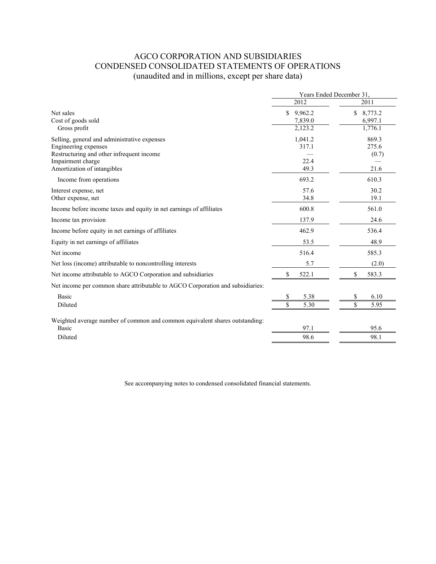## AGCO CORPORATION AND SUBSIDIARIES CONDENSED CONSOLIDATED STATEMENTS OF OPERATIONS (unaudited and in millions, except per share data)

|                                                                                                  | Years Ended December 31, |
|--------------------------------------------------------------------------------------------------|--------------------------|
| 2012                                                                                             | 2011                     |
| 9,962.2<br>\$<br>Cost of goods sold<br>7,839.0                                                   | \$<br>8,773.2<br>6,997.1 |
| 2,123.2                                                                                          | 1,776.1                  |
| 1,041.2<br>Selling, general and administrative expenses<br>Engineering expenses<br>317.1         | 869.3<br>275.6           |
| Restructuring and other infrequent income<br>22.4<br>Impairment charge<br>49.3                   | (0.7)<br>21.6            |
| Amortization of intangibles                                                                      |                          |
| 693.2<br>Income from operations                                                                  | 610.3                    |
| 57.6<br>Interest expense, net<br>Other expense, net<br>34.8                                      | 30.2<br>19.1             |
| 600.8<br>Income before income taxes and equity in net earnings of affiliates                     | 561.0                    |
| 137.9<br>Income tax provision                                                                    | 24.6                     |
| 462.9<br>Income before equity in net earnings of affiliates                                      | 536.4                    |
| 53.5<br>Equity in net earnings of affiliates                                                     | 48.9                     |
| 516.4                                                                                            | 585.3                    |
| Net loss (income) attributable to noncontrolling interests<br>5.7                                | (2.0)                    |
| \$<br>522.1<br>Net income attributable to AGCO Corporation and subsidiaries                      | \$<br>583.3              |
| Net income per common share attributable to AGCO Corporation and subsidiaries:                   |                          |
| \$<br>5.38                                                                                       | 6.10<br>\$               |
| \$                                                                                               | \$                       |
|                                                                                                  |                          |
| 97.1                                                                                             | 95.6                     |
| 98.6                                                                                             | 98.1                     |
| $\overline{5.30}$<br>Weighted average number of common and common equivalent shares outstanding: | 5.95                     |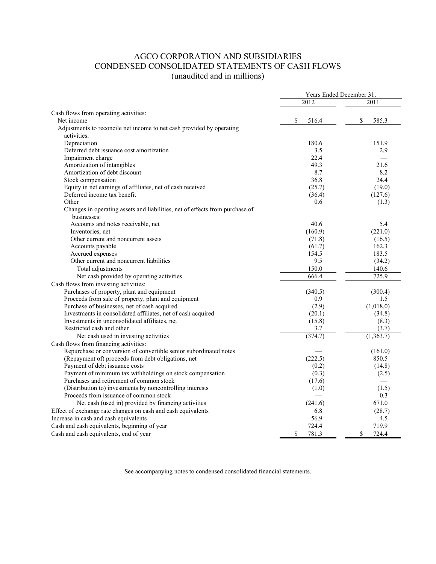## AGCO CORPORATION AND SUBSIDIARIES CONDENSED CONSOLIDATED STATEMENTS OF CASH FLOWS (unaudited and in millions)

|                                                                                                              | Years Ended December 31.          |                |  |
|--------------------------------------------------------------------------------------------------------------|-----------------------------------|----------------|--|
|                                                                                                              | 2012                              | 2011           |  |
| Cash flows from operating activities:                                                                        |                                   |                |  |
| Net income                                                                                                   | \$<br>516.4                       | \$<br>585.3    |  |
| Adjustments to reconcile net income to net cash provided by operating                                        |                                   |                |  |
| activities:                                                                                                  |                                   |                |  |
| Depreciation                                                                                                 | 180.6                             | 151.9          |  |
| Deferred debt issuance cost amortization                                                                     | 3.5                               | 2.9            |  |
| Impairment charge                                                                                            | 22.4                              |                |  |
| Amortization of intangibles                                                                                  | 49.3                              | 21.6           |  |
| Amortization of debt discount                                                                                | 8.7                               | 8.2            |  |
| Stock compensation                                                                                           | 36.8                              | 24.4           |  |
| Equity in net earnings of affiliates, net of cash received                                                   | (25.7)                            | (19.0)         |  |
| Deferred income tax benefit                                                                                  | (36.4)                            | (127.6)        |  |
| Other                                                                                                        | 0.6                               | (1.3)          |  |
| Changes in operating assets and liabilities, net of effects from purchase of                                 |                                   |                |  |
| businesses:                                                                                                  |                                   |                |  |
| Accounts and notes receivable, net                                                                           | 40.6                              | 5.4            |  |
| Inventories, net                                                                                             | (160.9)                           | (221.0)        |  |
| Other current and noncurrent assets                                                                          | (71.8)                            | (16.5)         |  |
| Accounts payable                                                                                             | (61.7)                            | 162.3          |  |
| Accrued expenses                                                                                             | 154.5                             | 183.5          |  |
| Other current and noncurrent liabilities                                                                     | 9.5                               | (34.2)         |  |
| Total adjustments                                                                                            | 150.0                             | 140.6          |  |
| Net cash provided by operating activities                                                                    | 666.4                             | 725.9          |  |
| Cash flows from investing activities:                                                                        |                                   |                |  |
| Purchases of property, plant and equipment                                                                   | (340.5)                           | (300.4)        |  |
| Proceeds from sale of property, plant and equipment                                                          | 0.9                               | 1.5            |  |
|                                                                                                              |                                   |                |  |
| Purchase of businesses, net of cash acquired<br>Investments in consolidated affiliates, net of cash acquired | (2.9)<br>(20.1)                   | (1,018.0)      |  |
| Investments in unconsolidated affiliates, net                                                                | (15.8)                            | (34.8)         |  |
| Restricted cash and other                                                                                    | 3.7                               | (8.3)<br>(3.7) |  |
|                                                                                                              |                                   |                |  |
| Net cash used in investing activities                                                                        | (374.7)                           | (1,363.7)      |  |
| Cash flows from financing activities:                                                                        |                                   |                |  |
| Repurchase or conversion of convertible senior subordinated notes                                            |                                   | (161.0)        |  |
| (Repayment of) proceeds from debt obligations, net                                                           | (222.5)                           | 850.5          |  |
| Payment of debt issuance costs                                                                               | (0.2)                             | (14.8)         |  |
| Payment of minimum tax withholdings on stock compensation                                                    | (0.3)                             | (2.5)          |  |
| Purchases and retirement of common stock                                                                     | (17.6)                            |                |  |
| (Distribution to) investments by noncontrolling interests                                                    | (1.0)                             | (1.5)          |  |
| Proceeds from issuance of common stock                                                                       |                                   | 0.3            |  |
| Net cash (used in) provided by financing activities                                                          | (241.6)                           | 671.0          |  |
| Effect of exchange rate changes on cash and cash equivalents                                                 | 6.8                               | (28.7)         |  |
| Increase in cash and cash equivalents                                                                        | 56.9                              | 4.5            |  |
| Cash and cash equivalents, beginning of year                                                                 | 724.4                             | 719.9          |  |
| Cash and cash equivalents, end of year                                                                       | $\overline{\mathcal{S}}$<br>781.3 | \$<br>724.4    |  |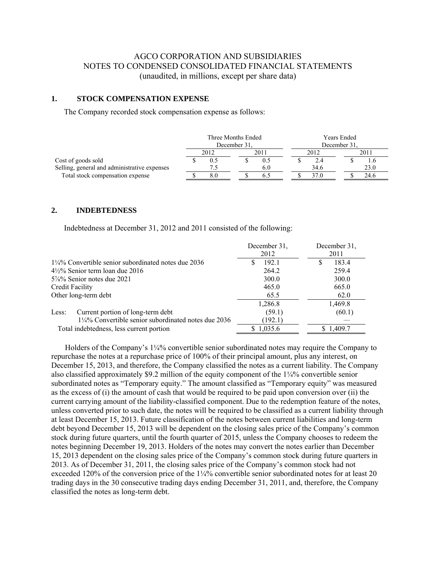## AGCO CORPORATION AND SUBSIDIARIES NOTES TO CONDENSED CONSOLIDATED FINANCIAL STATEMENTS (unaudited, in millions, except per share data)

#### **1. STOCK COMPENSATION EXPENSE**

The Company recorded stock compensation expense as follows:

|                                              | Three Months Ended |     |             | <b>Years Ended</b> |  |      |  |      |
|----------------------------------------------|--------------------|-----|-------------|--------------------|--|------|--|------|
|                                              | December 31        |     | December 31 |                    |  |      |  |      |
|                                              | 2011<br>2012       |     | 2012        |                    |  | 2011 |  |      |
| Cost of goods sold                           |                    |     |             | 0.5                |  |      |  |      |
| Selling, general and administrative expenses |                    |     |             | 6.0                |  | 34.6 |  | 23.0 |
| Total stock compensation expense             |                    | 8.0 |             |                    |  |      |  | 24.6 |

#### **2. INDEBTEDNESS**

Indebtedness at December 31, 2012 and 2011 consisted of the following:

|                                                                 | December 31, | December 31, |
|-----------------------------------------------------------------|--------------|--------------|
|                                                                 | 2012         | 2011         |
| $1\frac{1}{4}\%$ Convertible senior subordinated notes due 2036 | 192.1<br>S   | 183.4<br>S   |
| $4\frac{1}{2}\%$ Senior term loan due 2016                      | 264.2        | 259.4        |
| $5\frac{7}{8}$ % Senior notes due 2021                          | 300.0        | 300.0        |
| Credit Facility                                                 | 465.0        | 665.0        |
| Other long-term debt                                            | 65.5         | 62.0         |
|                                                                 | 1,286.8      | 1,469.8      |
| Current portion of long-term debt<br>Less:                      | (59.1)       | (60.1)       |
| $1\frac{1}{4}\%$ Convertible senior subordinated notes due 2036 | (192.1)      |              |
| Total indebtedness, less current portion                        | \$1,035.6    | \$1,409.7    |

 Holders of the Company's 1¼% convertible senior subordinated notes may require the Company to repurchase the notes at a repurchase price of 100% of their principal amount, plus any interest, on December 15, 2013, and therefore, the Company classified the notes as a current liability. The Company also classified approximately \$9.2 million of the equity component of the 1¼% convertible senior subordinated notes as "Temporary equity." The amount classified as "Temporary equity" was measured as the excess of (i) the amount of cash that would be required to be paid upon conversion over (ii) the current carrying amount of the liability-classified component. Due to the redemption feature of the notes, unless converted prior to such date, the notes will be required to be classified as a current liability through at least December 15, 2013. Future classification of the notes between current liabilities and long-term debt beyond December 15, 2013 will be dependent on the closing sales price of the Company's common stock during future quarters, until the fourth quarter of 2015, unless the Company chooses to redeem the notes beginning December 19, 2013. Holders of the notes may convert the notes earlier than December 15, 2013 dependent on the closing sales price of the Company's common stock during future quarters in 2013. As of December 31, 2011, the closing sales price of the Company's common stock had not exceeded 120% of the conversion price of the 1¼% convertible senior subordinated notes for at least 20 trading days in the 30 consecutive trading days ending December 31, 2011, and, therefore, the Company classified the notes as long-term debt.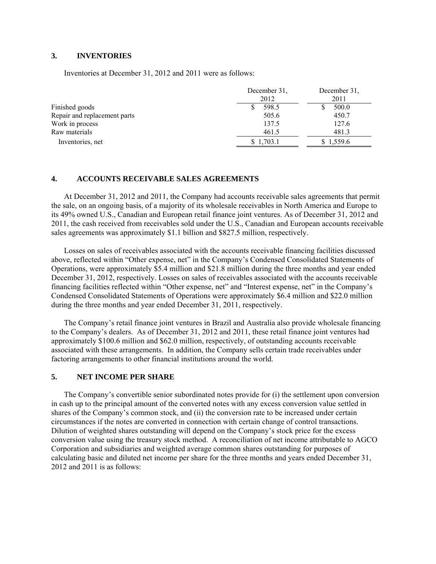#### **3. INVENTORIES**

Inventories at December 31, 2012 and 2011 were as follows:

|                              | December 31.<br>2012 | December 31,<br>2011 |
|------------------------------|----------------------|----------------------|
| Finished goods               | 598.5                | 500.0                |
| Repair and replacement parts | 505.6                | 450.7                |
| Work in process              | 137.5                | 127.6                |
| Raw materials                | 461.5                | 481.3                |
| Inventories, net             | \$1,703.1            | \$1,559.6            |

#### **4. ACCOUNTS RECEIVABLE SALES AGREEMENTS**

At December 31, 2012 and 2011, the Company had accounts receivable sales agreements that permit the sale, on an ongoing basis, of a majority of its wholesale receivables in North America and Europe to its 49% owned U.S., Canadian and European retail finance joint ventures. As of December 31, 2012 and 2011, the cash received from receivables sold under the U.S., Canadian and European accounts receivable sales agreements was approximately \$1.1 billion and \$827.5 million, respectively.

Losses on sales of receivables associated with the accounts receivable financing facilities discussed above, reflected within "Other expense, net" in the Company's Condensed Consolidated Statements of Operations, were approximately \$5.4 million and \$21.8 million during the three months and year ended December 31, 2012, respectively. Losses on sales of receivables associated with the accounts receivable financing facilities reflected within "Other expense, net" and "Interest expense, net" in the Company's Condensed Consolidated Statements of Operations were approximately \$6.4 million and \$22.0 million during the three months and year ended December 31, 2011, respectively.

The Company's retail finance joint ventures in Brazil and Australia also provide wholesale financing to the Company's dealers. As of December 31, 2012 and 2011, these retail finance joint ventures had approximately \$100.6 million and \$62.0 million, respectively, of outstanding accounts receivable associated with these arrangements. In addition, the Company sells certain trade receivables under factoring arrangements to other financial institutions around the world.

### **5. NET INCOME PER SHARE**

The Company's convertible senior subordinated notes provide for (i) the settlement upon conversion in cash up to the principal amount of the converted notes with any excess conversion value settled in shares of the Company's common stock, and (ii) the conversion rate to be increased under certain circumstances if the notes are converted in connection with certain change of control transactions. Dilution of weighted shares outstanding will depend on the Company's stock price for the excess conversion value using the treasury stock method. A reconciliation of net income attributable to AGCO Corporation and subsidiaries and weighted average common shares outstanding for purposes of calculating basic and diluted net income per share for the three months and years ended December 31, 2012 and 2011 is as follows: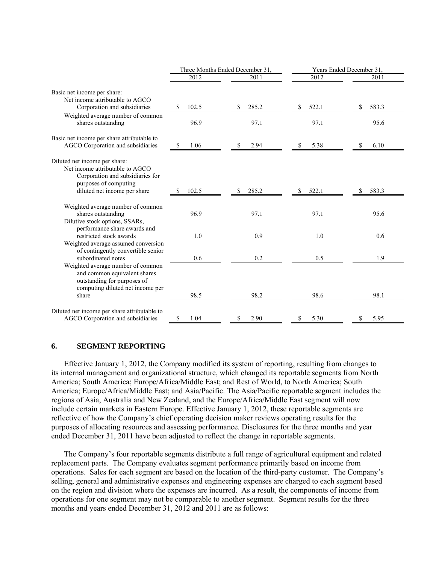|                                                                                                                                                               | Three Months Ended December 31, |           | Years Ended December 31, |           |  |
|---------------------------------------------------------------------------------------------------------------------------------------------------------------|---------------------------------|-----------|--------------------------|-----------|--|
|                                                                                                                                                               | 2012                            | 2011      | 2012                     | 2011      |  |
| Basic net income per share:<br>Net income attributable to AGCO                                                                                                |                                 |           |                          |           |  |
| Corporation and subsidiaries                                                                                                                                  | 102.5<br>\$                     | 285.2     | 522.1<br>S               | 583.3     |  |
| Weighted average number of common<br>shares outstanding                                                                                                       | 96.9                            | 97.1      | 97.1                     | 95.6      |  |
| Basic net income per share attributable to<br>AGCO Corporation and subsidiaries                                                                               | S<br>1.06                       | 2.94<br>S | 5.38<br>S                | 6.10<br>S |  |
| Diluted net income per share:<br>Net income attributable to AGCO<br>Corporation and subsidiaries for<br>purposes of computing<br>diluted net income per share | 102.5<br>S                      | 285.2     | 522.1<br>S               | 583.3     |  |
| Weighted average number of common<br>shares outstanding<br>Dilutive stock options, SSARs,<br>performance share awards and                                     | 96.9                            | 97.1      | 97.1                     | 95.6      |  |
| restricted stock awards<br>Weighted average assumed conversion<br>of contingently convertible senior                                                          | 1.0                             | 0.9       | 1.0                      | 0.6       |  |
| subordinated notes                                                                                                                                            | 0.6                             | 0.2       | 0.5                      | 1.9       |  |
| Weighted average number of common<br>and common equivalent shares<br>outstanding for purposes of<br>computing diluted net income per<br>share                 | 98.5                            | 98.2      | 98.6                     | 98.1      |  |
| Diluted net income per share attributable to<br>AGCO Corporation and subsidiaries                                                                             | \$<br>1.04                      | 2.90<br>S | 5.30<br>\$               | 5.95<br>S |  |

#### **6. SEGMENT REPORTING**

Effective January 1, 2012, the Company modified its system of reporting, resulting from changes to its internal management and organizational structure, which changed its reportable segments from North America; South America; Europe/Africa/Middle East; and Rest of World, to North America; South America; Europe/Africa/Middle East; and Asia/Pacific. The Asia/Pacific reportable segment includes the regions of Asia, Australia and New Zealand, and the Europe/Africa/Middle East segment will now include certain markets in Eastern Europe. Effective January 1, 2012, these reportable segments are reflective of how the Company's chief operating decision maker reviews operating results for the purposes of allocating resources and assessing performance. Disclosures for the three months and year ended December 31, 2011 have been adjusted to reflect the change in reportable segments.

The Company's four reportable segments distribute a full range of agricultural equipment and related replacement parts. The Company evaluates segment performance primarily based on income from operations. Sales for each segment are based on the location of the third-party customer. The Company's selling, general and administrative expenses and engineering expenses are charged to each segment based on the region and division where the expenses are incurred. As a result, the components of income from operations for one segment may not be comparable to another segment. Segment results for the three months and years ended December 31, 2012 and 2011 are as follows: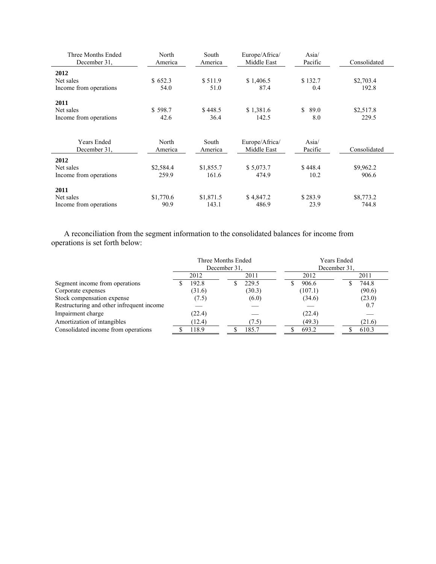| Three Months Ended<br>December 31. | North<br>America | South<br>America | Europe/Africa/<br>Middle East | Asia/<br>Pacific | Consolidated |
|------------------------------------|------------------|------------------|-------------------------------|------------------|--------------|
| 2012                               |                  |                  |                               |                  |              |
| Net sales                          | \$652.3          | \$511.9          | \$1,406.5                     | \$132.7          | \$2,703.4    |
| Income from operations             | 54.0             | 51.0             | 87.4                          | 0.4              | 192.8        |
| 2011                               |                  |                  |                               |                  |              |
| Net sales                          | \$598.7          | \$448.5          | \$1,381.6                     | 89.0<br>\$.      | \$2,517.8    |
| Income from operations             | 42.6             | 36.4             | 142.5                         | 8.0              | 229.5        |
|                                    |                  |                  |                               |                  |              |
| <b>Years Ended</b>                 | North            | South            | Europe/Africa/                | Asia/            |              |
| December 31.                       | America          | America          | Middle East                   | Pacific          | Consolidated |
| 2012                               |                  |                  |                               |                  |              |
| Net sales                          | \$2,584.4        | \$1,855.7        | \$5,073.7                     | \$448.4          | \$9,962.2    |
| Income from operations             | 259.9            | 161.6            | 474.9                         | 10.2             | 906.6        |
| 2011                               |                  |                  |                               |                  |              |
| Net sales                          | \$1,770.6        | \$1,871.5        | \$4,847.2                     | \$283.9          | \$8,773.2    |
| Income from operations             | 90.9             | 143.1            | 486.9                         | 23.9             | 744.8        |

A reconciliation from the segment information to the consolidated balances for income from operations is set forth below:

|                                           | Three Months Ended<br>December 31. |              |  |        | <b>Years Ended</b><br>December 31. |  |        |  |
|-------------------------------------------|------------------------------------|--------------|--|--------|------------------------------------|--|--------|--|
|                                           |                                    | 2011<br>2012 |  |        | 2012                               |  | 2011   |  |
| Segment income from operations            |                                    | 192.8        |  | 229.5  | 906.6                              |  | 744.8  |  |
| Corporate expenses                        |                                    | (31.6)       |  | (30.3) | (107.1)                            |  | (90.6) |  |
| Stock compensation expense                |                                    | (7.5)        |  | (6.0)  | (34.6)                             |  | (23.0) |  |
| Restructuring and other infrequent income |                                    |              |  |        |                                    |  | 0.7    |  |
| Impairment charge                         |                                    | (22.4)       |  |        | (22.4)                             |  |        |  |
| Amortization of intangibles               |                                    | (12.4)       |  | (7.5)  | (49.3)                             |  | (21.6) |  |
| Consolidated income from operations       |                                    | 118.9        |  | 185.7  | 693.2                              |  | 610.3  |  |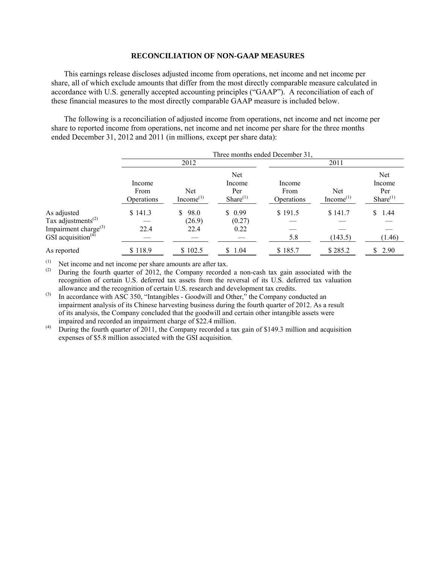#### **RECONCILIATION OF NON-GAAP MEASURES**

This earnings release discloses adjusted income from operations, net income and net income per share, all of which exclude amounts that differ from the most directly comparable measure calculated in accordance with U.S. generally accepted accounting principles ("GAAP"). A reconciliation of each of these financial measures to the most directly comparable GAAP measure is included below.

 The following is a reconciliation of adjusted income from operations, net income and net income per share to reported income from operations, net income and net income per share for the three months ended December 31, 2012 and 2011 (in millions, except per share data):

|                                             | Three months ended December 31, |                                     |                                              |                              |                              |                                              |  |
|---------------------------------------------|---------------------------------|-------------------------------------|----------------------------------------------|------------------------------|------------------------------|----------------------------------------------|--|
|                                             |                                 | 2012                                |                                              |                              | 2011                         |                                              |  |
|                                             | Income<br>From<br>Operations    | <b>Net</b><br>Income <sup>(1)</sup> | Net<br>Income<br>Per<br>Share <sup>(1)</sup> | Income<br>From<br>Operations | Net<br>Income <sup>(1)</sup> | Net<br>Income<br>Per<br>Share <sup>(1)</sup> |  |
| As adjusted                                 | \$141.3                         | 98.0                                | \$0.99                                       | \$191.5                      | \$141.7                      | 1.44<br>\$                                   |  |
| Tax adjustments <sup><math>(2)</math></sup> |                                 | (26.9)                              | (0.27)                                       |                              |                              |                                              |  |
| Impairment charge <sup>(3)</sup>            | 22.4                            | 22.4                                | 0.22                                         |                              |                              |                                              |  |
| GSI acquisition <sup><math>(4)</math></sup> |                                 |                                     |                                              | 5.8                          | (143.5)                      | (1.46)                                       |  |
| As reported                                 | \$118.9                         | \$102.5                             | 1.04                                         | \$185.7                      | \$285.2                      | \$2.90                                       |  |

(1) Net income and net income per share amounts are after tax.<br>(2) During the fourth quarter of 2012, the Company recorded

(2) During the fourth quarter of 2012, the Company recorded a non-cash tax gain associated with the recognition of certain U.S. deferred tax assets from the reversal of its U.S. deferred tax valuation allowance and the recognition of certain U.S. research and development tax credits.

 $^{(3)}$  In accordance with ASC 350, "Intangibles - Goodwill and Other," the Company conducted an impairment analysis of its Chinese harvesting business during the fourth quarter of 2012. As a result of its analysis, the Company concluded that the goodwill and certain other intangible assets were impaired and recorded an impairment charge of \$22.4 million.

 $^{(4)}$  During the fourth quarter of 2011, the Company recorded a tax gain of \$149.3 million and acquisition expenses of \$5.8 million associated with the GSI acquisition.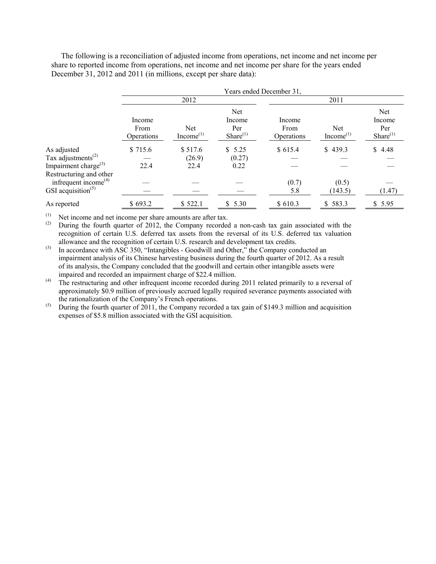The following is a reconciliation of adjusted income from operations, net income and net income per share to reported income from operations, net income and net income per share for the years ended December 31, 2012 and 2011 (in millions, except per share data):

|                                                                                                   | Years ended December 31,     |                                     |                                            |                              |                              |                                       |
|---------------------------------------------------------------------------------------------------|------------------------------|-------------------------------------|--------------------------------------------|------------------------------|------------------------------|---------------------------------------|
|                                                                                                   |                              | 2012                                |                                            | 2011                         |                              |                                       |
|                                                                                                   | Income<br>From<br>Operations | <b>Net</b><br>Income <sup>(1)</sup> | <b>Net</b><br>Income<br>Per<br>Share $(1)$ | Income<br>From<br>Operations | Net<br>Income <sup>(1)</sup> | Net<br>Income<br>Per<br>$Share^{(1)}$ |
| As adjusted                                                                                       | \$715.6                      | \$517.6                             | \$5.25                                     | \$615.4                      | \$439.3                      | \$4.48                                |
| Tax adjustments <sup><math>(2)</math></sup>                                                       |                              | (26.9)                              | (0.27)                                     |                              |                              |                                       |
| Impairment charge <sup>(3)</sup>                                                                  | 22.4                         | 22.4                                | 0.22                                       |                              |                              |                                       |
| Restructuring and other<br>infrequent income $(4)$<br>GSI acquisition <sup><math>(5)</math></sup> |                              |                                     |                                            | (0.7)<br>5.8                 | (0.5)<br>(143.5)             | (1.47)                                |
| As reported                                                                                       | \$693.2                      | \$522.1                             | \$5.30                                     | \$610.3                      | \$583.3                      | \$5.95                                |

(1) Net income and net income per share amounts are after tax.<br>(2) During the fourth quarter of 2012, the Company recorded

During the fourth quarter of 2012, the Company recorded a non-cash tax gain associated with the recognition of certain U.S. deferred tax assets from the reversal of its U.S. deferred tax valuation allowance and the recognition of certain U.S. research and development tax credits.

(3) In accordance with ASC 350, "Intangibles - Goodwill and Other," the Company conducted an impairment analysis of its Chinese harvesting business during the fourth quarter of 2012. As a result of its analysis, the Company concluded that the goodwill and certain other intangible assets were impaired and recorded an impairment charge of \$22.4 million.

(4) The restructuring and other infrequent income recorded during 2011 related primarily to a reversal of approximately \$0.9 million of previously accrued legally required severance payments associated with the rationalization of the Company's French operations.

<sup>(5)</sup> During the fourth quarter of 2011, the Company recorded a tax gain of \$149.3 million and acquisition expenses of \$5.8 million associated with the GSI acquisition.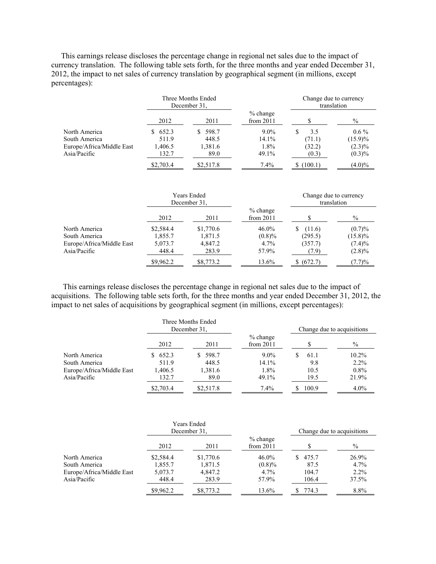This earnings release discloses the percentage change in regional net sales due to the impact of currency translation. The following table sets forth, for the three months and year ended December 31, 2012, the impact to net sales of currency translation by geographical segment (in millions, except percentages):

|                           | Three Months Ended<br>December 31. |           |                           | Change due to currency<br>translation |            |
|---------------------------|------------------------------------|-----------|---------------------------|---------------------------------------|------------|
|                           | 2012                               | 2011      | $%$ change<br>from $2011$ |                                       | $\%$       |
| North America             | 652.3<br>S.                        | \$ 598.7  | $9.0\%$                   | S<br>3.5                              | $0.6\%$    |
| South America             | 511.9                              | 448.5     | 14.1%                     | (71.1)                                | $(15.9)\%$ |
| Europe/Africa/Middle East | 1,406.5                            | 1,381.6   | $1.8\%$                   | (32.2)                                | $(2.3)\%$  |
| Asia/Pacific              | 132.7                              | 89.0      | 49.1%                     | (0.3)                                 | $(0.3)\%$  |
|                           | \$2,703.4                          | \$2,517.8 | $7.4\%$                   | \$(100.1)                             | $(4.0)\%$  |

|                           | Years Ended<br>December 31. |           |                           | Change due to currency<br>translation |            |
|---------------------------|-----------------------------|-----------|---------------------------|---------------------------------------|------------|
|                           | 2012                        | 2011      | $%$ change<br>from $2011$ |                                       | $\%$       |
| North America             | \$2,584.4                   | \$1,770.6 | $46.0\%$                  | (11.6)                                | (0.7)%     |
| South America             | 1,855.7                     | 1,871.5   | $(0.8)\%$                 | (295.5)                               | $(15.8)\%$ |
| Europe/Africa/Middle East | 5,073.7                     | 4,847.2   | $4.7\%$                   | (357.7)                               | $(7.4)\%$  |
| Asia/Pacific              | 448.4                       | 283.9     | 57.9%                     | (7.9)                                 | $(2.8)\%$  |
|                           | \$9,962.2                   | \$8,773.2 | 13.6%                     | \$ (672.7)                            | (7.7)%     |

 This earnings release discloses the percentage change in regional net sales due to the impact of acquisitions. The following table sets forth, for the three months and year ended December 31, 2012, the impact to net sales of acquisitions by geographical segment (in millions, except percentages):

|                           | Three Months Ended<br>December 31. |           |                           | Change due to acquisitions |          |
|---------------------------|------------------------------------|-----------|---------------------------|----------------------------|----------|
|                           | 2012                               | 2011      | $%$ change<br>from $2011$ |                            | $\%$     |
| North America             | \$652.3                            | 598.7     | $9.0\%$                   | 61.1                       | $10.2\%$ |
| South America             | 511.9                              | 448.5     | 14.1%                     | 9.8                        | $2.2\%$  |
| Europe/Africa/Middle East | 1,406.5                            | 1,381.6   | 1.8%                      | 10.5                       | $0.8\%$  |
| Asia/Pacific              | 132.7                              | 89.0      | 49.1%                     | 19.5                       | 21.9%    |
|                           | \$2,703.4                          | \$2.517.8 | 7.4%                      | 100.9                      | $4.0\%$  |

|                           |           | <b>Years Ended</b><br>December 31. |                           | Change due to acquisitions |         |  |
|---------------------------|-----------|------------------------------------|---------------------------|----------------------------|---------|--|
|                           | 2012      | 2011                               | $%$ change<br>from $2011$ |                            | $\%$    |  |
| North America             | \$2,584.4 | \$1,770.6                          | $46.0\%$                  | 475.7<br>S.                | 26.9%   |  |
| South America             | 1,855.7   | 1,871.5                            | $(0.8)\%$                 | 87.5                       | 4.7%    |  |
| Europe/Africa/Middle East | 5,073.7   | 4,847.2                            | $4.7\%$                   | 104.7                      | $2.2\%$ |  |
| Asia/Pacific              | 448.4     | 283.9                              | 57.9%                     | 106.4                      | 37.5%   |  |
|                           | \$9,962.2 | \$8,773.2                          | 13.6%                     | 774.3<br>S.                | 8.8%    |  |